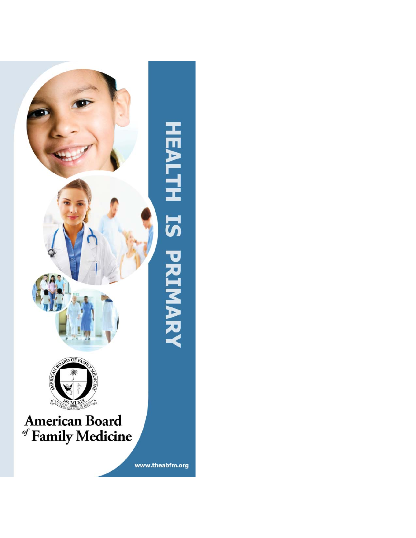